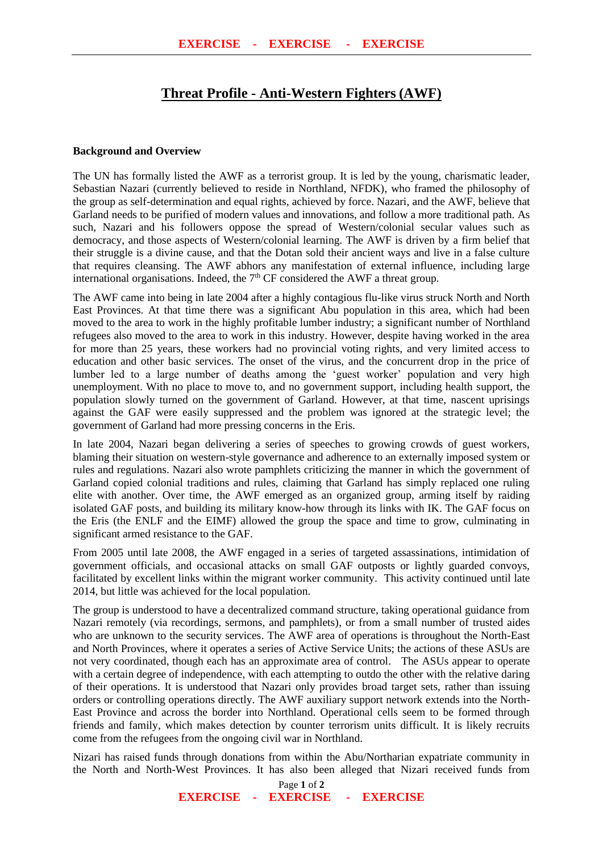## **Threat Profile - Anti-Western Fighters (AWF)**

## **Background and Overview**

The UN has formally listed the AWF as a terrorist group. It is led by the young, charismatic leader, Sebastian Nazari (currently believed to reside in Northland, NFDK), who framed the philosophy of the group as self-determination and equal rights, achieved by force. Nazari, and the AWF, believe that Garland needs to be purified of modern values and innovations, and follow a more traditional path. As such, Nazari and his followers oppose the spread of Western/colonial secular values such as democracy, and those aspects of Western/colonial learning. The AWF is driven by a firm belief that their struggle is a divine cause, and that the Dotan sold their ancient ways and live in a false culture that requires cleansing. The AWF abhors any manifestation of external influence, including large international organisations. Indeed, the  $7<sup>th</sup>$  CF considered the AWF a threat group.

The AWF came into being in late 2004 after a highly contagious flu-like virus struck North and North East Provinces. At that time there was a significant Abu population in this area, which had been moved to the area to work in the highly profitable lumber industry; a significant number of Northland refugees also moved to the area to work in this industry. However, despite having worked in the area for more than 25 years, these workers had no provincial voting rights, and very limited access to education and other basic services. The onset of the virus, and the concurrent drop in the price of lumber led to a large number of deaths among the 'guest worker' population and very high unemployment. With no place to move to, and no government support, including health support, the population slowly turned on the government of Garland. However, at that time, nascent uprisings against the GAF were easily suppressed and the problem was ignored at the strategic level; the government of Garland had more pressing concerns in the Eris.

In late 2004, Nazari began delivering a series of speeches to growing crowds of guest workers, blaming their situation on western-style governance and adherence to an externally imposed system or rules and regulations. Nazari also wrote pamphlets criticizing the manner in which the government of Garland copied colonial traditions and rules, claiming that Garland has simply replaced one ruling elite with another. Over time, the AWF emerged as an organized group, arming itself by raiding isolated GAF posts, and building its military know-how through its links with IK. The GAF focus on the Eris (the ENLF and the EIMF) allowed the group the space and time to grow, culminating in significant armed resistance to the GAF.

From 2005 until late 2008, the AWF engaged in a series of targeted assassinations, intimidation of government officials, and occasional attacks on small GAF outposts or lightly guarded convoys, facilitated by excellent links within the migrant worker community. This activity continued until late 2014, but little was achieved for the local population.

The group is understood to have a decentralized command structure, taking operational guidance from Nazari remotely (via recordings, sermons, and pamphlets), or from a small number of trusted aides who are unknown to the security services. The AWF area of operations is throughout the North-East and North Provinces, where it operates a series of Active Service Units; the actions of these ASUs are not very coordinated, though each has an approximate area of control. The ASUs appear to operate with a certain degree of independence, with each attempting to outdo the other with the relative daring of their operations. It is understood that Nazari only provides broad target sets, rather than issuing orders or controlling operations directly. The AWF auxiliary support network extends into the North-East Province and across the border into Northland. Operational cells seem to be formed through friends and family, which makes detection by counter terrorism units difficult. It is likely recruits come from the refugees from the ongoing civil war in Northland.

Nizari has raised funds through donations from within the Abu/Northarian expatriate community in the North and North-West Provinces. It has also been alleged that Nizari received funds from

Page **1** of **2**

**EXERCISE - EXERCISE - EXERCISE**